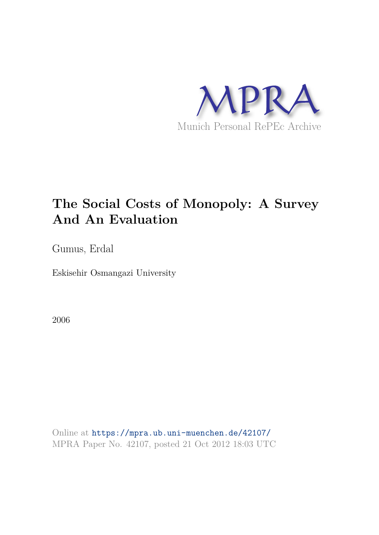

# **The Social Costs of Monopoly: A Survey And An Evaluation**

Gumus, Erdal

Eskisehir Osmangazi University

2006

Online at https://mpra.ub.uni-muenchen.de/42107/ MPRA Paper No. 42107, posted 21 Oct 2012 18:03 UTC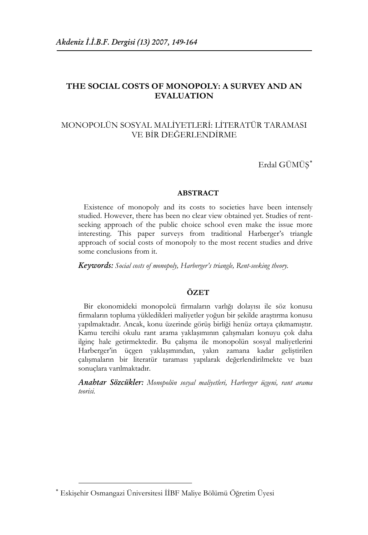## **THE SOCIAL COSTS OF MONOPOLY: A SURVEY AND AN EVALUATION**

## MONOPOLÜN SOSYAL MALİYETLERİ: LİTERATÜR TARAMASI VE BİR DEĞERLENDİRME

Erdal GÜMÜŞ ∗

#### **ABSTRACT**

Existence of monopoly and its costs to societies have been intensely studied. However, there has been no clear view obtained yet. Studies of rentseeking approach of the public choice school even make the issue more interesting. This paper surveys from traditional Harberger's triangle approach of social costs of monopoly to the most recent studies and drive some conclusions from it.

Keywords: *Social costs of monopoly, Harberger's triangle, Rent-seeking theory.* 

#### **ÖZET**

Bir ekonomideki monopolcü firmaların varlığı dolayısı ile söz konusu firmaların topluma yükledikleri maliyetler yoğun bir şekilde araştırma konusu yapılmaktadır. Ancak, konu üzerinde görüş birliği henüz ortaya çıkmamıştır. Kamu tercihi okulu rant arama yaklaşımının çalışmaları konuyu çok daha ilginç hale getirmektedir. Bu çalışma ile monopolün sosyal maliyetlerini Harberger'in üçgen yaklaşımından, yakın zamana kadar geliştirilen çalışmaların bir literatür taraması yapılarak değerlendirilmekte ve bazı sonuçlara varılmaktadır.

Anahtar Sözcükler: *Monopolün sosyal maliyetleri, Harberger üçgeni, rant arama teorisi.* 

<sup>∗</sup> Eskişehir Osmangazi Üniversitesi İİBF Maliye Bölümü Öğretim Üyesi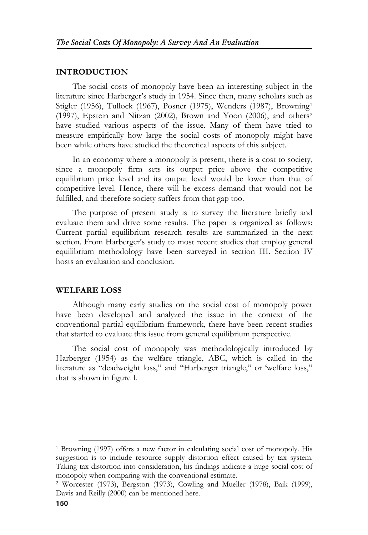### **INTRODUCTION**

The social costs of monopoly have been an interesting subject in the literature since Harberger's study in 1954. Since then, many scholars such as Stigler (1956), Tullock (1967), Posner (1975), Wenders (1987), Browning<sup>1</sup> (1997), Epstein and Nitzan (2002), Brown and Yoon (2006), and others<sup>2</sup> have studied various aspects of the issue. Many of them have tried to measure empirically how large the social costs of monopoly might have been while others have studied the theoretical aspects of this subject.

In an economy where a monopoly is present, there is a cost to society, since a monopoly firm sets its output price above the competitive equilibrium price level and its output level would be lower than that of competitive level. Hence, there will be excess demand that would not be fulfilled, and therefore society suffers from that gap too.

The purpose of present study is to survey the literature briefly and evaluate them and drive some results. The paper is organized as follows: Current partial equilibrium research results are summarized in the next section. From Harberger's study to most recent studies that employ general equilibrium methodology have been surveyed in section III. Section IV hosts an evaluation and conclusion.

#### **WELFARE LOSS**

Although many early studies on the social cost of monopoly power have been developed and analyzed the issue in the context of the conventional partial equilibrium framework, there have been recent studies that started to evaluate this issue from general equilibrium perspective.

The social cost of monopoly was methodologically introduced by Harberger (1954) as the welfare triangle, ABC, which is called in the literature as "deadweight loss," and "Harberger triangle," or 'welfare loss," that is shown in figure I.

<sup>&</sup>lt;sup>1</sup> Browning (1997) offers a new factor in calculating social cost of monopoly. His suggestion is to include resource supply distortion effect caused by tax system. Taking tax distortion into consideration, his findings indicate a huge social cost of monopoly when comparing with the conventional estimate.

<sup>2</sup> Worcester (1973), Bergston (1973), Cowling and Mueller (1978), Baik (1999), Davis and Reilly (2000) can be mentioned here.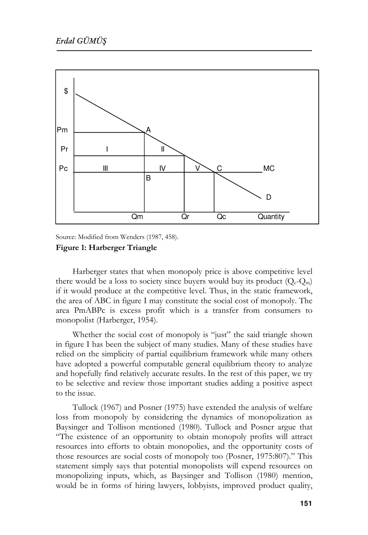

Source: Modified from Wenders (1987, 458).

#### **Figure 1: Harberger Triangle**

Harberger states that when monopoly price is above competitive level there would be a loss to society since buyers would buy its product  $(Q_c-Q_m)$ if it would produce at the competitive level. Thus, in the static framework, the area of ABC in figure I may constitute the social cost of monopoly. The area PmABPc is excess profit which is a transfer from consumers to monopolist (Harberger, 1954).

Whether the social cost of monopoly is "just" the said triangle shown in figure I has been the subject of many studies. Many of these studies have relied on the simplicity of partial equilibrium framework while many others have adopted a powerful computable general equilibrium theory to analyze and hopefully find relatively accurate results. In the rest of this paper, we try to be selective and review those important studies adding a positive aspect to the issue.

Tullock (1967) and Posner (1975) have extended the analysis of welfare loss from monopoly by considering the dynamics of monopolization as Baysinger and Tollison mentioned (1980). Tullock and Posner argue that "The existence of an opportunity to obtain monopoly profits will attract resources into efforts to obtain monopolies, and the opportunity costs of those resources are social costs of monopoly too (Posner, 1975:807)." This statement simply says that potential monopolists will expend resources on monopolizing inputs, which, as Baysinger and Tollison (1980) mention, would be in forms of hiring lawyers, lobbyists, improved product quality,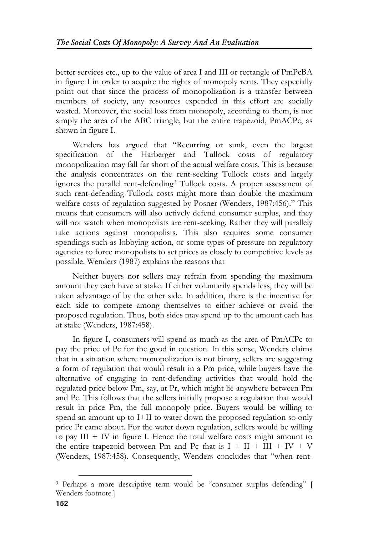better services etc., up to the value of area I and III or rectangle of PmPcBA in figure I in order to acquire the rights of monopoly rents. They especially point out that since the process of monopolization is a transfer between members of society, any resources expended in this effort are socially wasted. Moreover, the social loss from monopoly, according to them, is not simply the area of the ABC triangle, but the entire trapezoid, PmACPc, as shown in figure I.

Wenders has argued that "Recurring or sunk, even the largest specification of the Harberger and Tullock costs of regulatory monopolization may fall far short of the actual welfare costs. This is because the analysis concentrates on the rent-seeking Tullock costs and largely ignores the parallel rent-defending<sup>3</sup> Tullock costs. A proper assessment of such rent-defending Tullock costs might more than double the maximum welfare costs of regulation suggested by Posner (Wenders, 1987:456)." This means that consumers will also actively defend consumer surplus, and they will not watch when monopolists are rent-seeking. Rather they will parallely take actions against monopolists. This also requires some consumer spendings such as lobbying action, or some types of pressure on regulatory agencies to force monopolists to set prices as closely to competitive levels as possible. Wenders (1987) explains the reasons that

Neither buyers nor sellers may refrain from spending the maximum amount they each have at stake. If either voluntarily spends less, they will be taken advantage of by the other side. In addition, there is the incentive for each side to compete among themselves to either achieve or avoid the proposed regulation. Thus, both sides may spend up to the amount each has at stake (Wenders, 1987:458).

In figure I, consumers will spend as much as the area of PmACPc to pay the price of Pc for the good in question. In this sense, Wenders claims that in a situation where monopolization is not binary, sellers are suggesting a form of regulation that would result in a Pm price, while buyers have the alternative of engaging in rent-defending activities that would hold the regulated price below Pm, say, at Pr, which might lie anywhere between Pm and Pc. This follows that the sellers initially propose a regulation that would result in price Pm, the full monopoly price. Buyers would be willing to spend an amount up to I+II to water down the proposed regulation so only price Pr came about. For the water down regulation, sellers would be willing to pay  $III + IV$  in figure I. Hence the total welfare costs might amount to the entire trapezoid between Pm and Pc that is  $I + II + III + IV + V$ (Wenders, 1987:458). Consequently, Wenders concludes that "when rent-

<sup>3</sup> Perhaps a more descriptive term would be "consumer surplus defending" [ Wenders footnote.]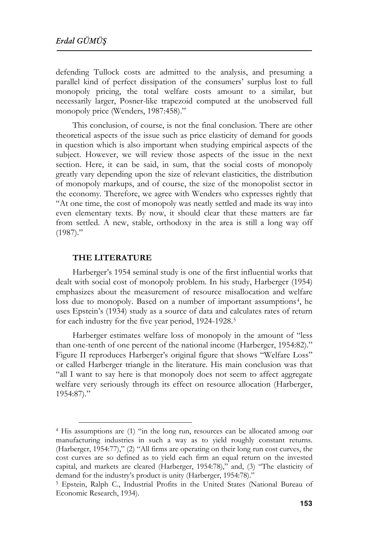defending Tullock costs are admitted to the analysis, and presuming a parallel kind of perfect dissipation of the consumers' surplus lost to full monopoly pricing, the total welfare costs amount to a similar, but necessarily larger, Posner-like trapezoid computed at the unobserved full monopoly price (Wenders, 1987:458)."

This conclusion, of course, is not the final conclusion. There are other theoretical aspects of the issue such as price elasticity of demand for goods in question which is also important when studying empirical aspects of the subject. However, we will review those aspects of the issue in the next section. Here, it can be said, in sum, that the social costs of monopoly greatly vary depending upon the size of relevant elasticities, the distribution of monopoly markups, and of course, the size of the monopolist sector in the economy. Therefore, we agree with Wenders who expresses rightly that "At one time, the cost of monopoly was neatly settled and made its way into even elementary texts. By now, it should clear that these matters are far from settled. A new, stable, orthodoxy in the area is still a long way off  $(1987)$ ."

### **THE LITERATURE**

 $\overline{a}$ 

Harberger's 1954 seminal study is one of the first influential works that dealt with social cost of monopoly problem. In his study, Harberger (1954) emphasizes about the measurement of resource misallocation and welfare loss due to monopoly. Based on a number of important assumptions<sup>4</sup>, he uses Epstein's (1934) study as a source of data and calculates rates of return for each industry for the five year period, 1924-1928.<sup>5</sup>

Harberger estimates welfare loss of monopoly in the amount of "less than one-tenth of one percent of the national income (Harberger, 1954:82)." Figure II reproduces Harberger's original figure that shows "Welfare Loss" or called Harberger triangle in the literature. His main conclusion was that "all I want to say here is that monopoly does not seem to affect aggregate welfare very seriously through its effect on resource allocation (Harberger, 1954:87)."

<sup>4</sup> His assumptions are (1) "in the long run, resources can be allocated among our manufacturing industries in such a way as to yield roughly constant returns. (Harberger, 1954:77)," (2) "All firms are operating on their long run cost curves, the cost curves are so defined as to yield each firm an equal return on the invested capital, and markets are cleared (Harberger, 1954:78)," and, (3) "The elasticity of demand for the industry's product is unity (Harberger, 1954:78)."

<sup>&</sup>lt;sup>5</sup> Epstein, Ralph C., Industrial Profits in the United States (National Bureau of Economic Research, 1934).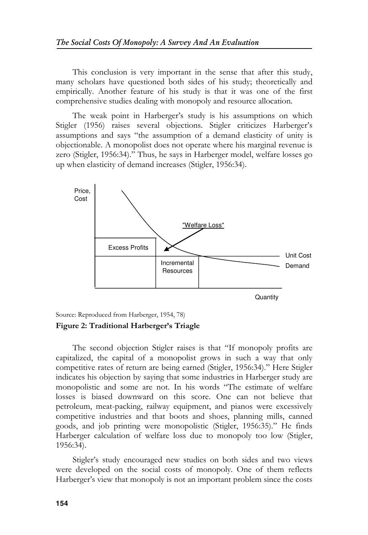This conclusion is very important in the sense that after this study, many scholars have questioned both sides of his study; theoretically and empirically. Another feature of his study is that it was one of the first comprehensive studies dealing with monopoly and resource allocation.

The weak point in Harberger's study is his assumptions on which Stigler (1956) raises several objections. Stigler criticizes Harberger's assumptions and says "the assumption of a demand elasticity of unity is objectionable. A monopolist does not operate where his marginal revenue is zero (Stigler, 1956:34)." Thus, he says in Harberger model, welfare losses go up when elasticity of demand increases (Stigler, 1956:34).



## Source: Reproduced from Harberger, 1954, 78) **Figure 2: Traditional Harberger's Triagle**

The second objection Stigler raises is that "If monopoly profits are capitalized, the capital of a monopolist grows in such a way that only competitive rates of return are being earned (Stigler, 1956:34)." Here Stigler indicates his objection by saying that some industries in Harberger study are monopolistic and some are not. In his words "The estimate of welfare losses is biased downward on this score. One can not believe that petroleum, meat-packing, railway equipment, and pianos were excessively competitive industries and that boots and shoes, planning mills, canned goods, and job printing were monopolistic (Stigler, 1956:35)." He finds Harberger calculation of welfare loss due to monopoly too low (Stigler, 1956:34).

Stigler's study encouraged new studies on both sides and two views were developed on the social costs of monopoly. One of them reflects Harberger's view that monopoly is not an important problem since the costs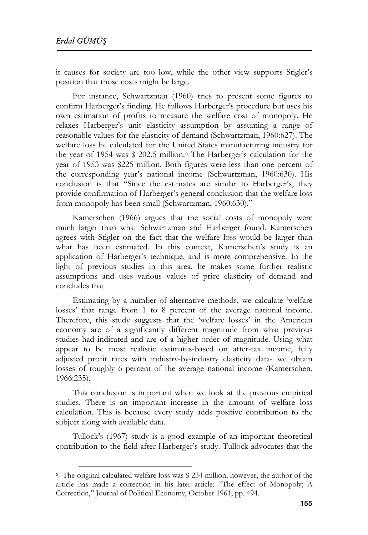$\overline{a}$ 

it causes for society are too low, while the other view supports Stigler's position that those costs might be large.

For instance, Schwartzman (1960) tries to present some figures to confirm Harberger's finding. He follows Harberger's procedure but uses his own estimation of profits to measure the welfare cost of monopoly. He relaxes Harberger's unit elasticity assumption by assuming a range of reasonable values for the elasticity of demand (Schwartzman, 1960:627). The welfare loss he calculated for the United States manufacturing industry for the year of 1954 was \$ 202.5 million.<sup>6</sup> The Harberger's calculation for the year of 1953 was \$225 million. Both figures were less than one percent of the corresponding year's national income (Schwartzman, 1960:630). His conclusion is that "Since the estimates are similar to Harberger's, they provide confirmation of Harberger's general conclusion that the welfare loss from monopoly has been small (Schwartzman, 1960:630)."

Kamerschen (1966) argues that the social costs of monopoly were much larger than what Schwartzman and Harberger found. Kamerschen agrees with Stigler on the fact that the welfare loss would be larger than what has been estimated. In this context, Kamerschen's study is an application of Harberger's technique, and is more comprehensive. In the light of previous studies in this area, he makes some further realistic assumptions and uses various values of price elasticity of demand and concludes that

Estimating by a number of alternative methods, we calculate 'welfare losses' that range from 1 to 8 percent of the average national income. Therefore, this study suggests that the 'welfare losses' in the American economy are of a significantly different magnitude from what previous studies had indicated and are of a higher order of magnitude. Using what appear to be most realistic estimates-based on after-tax income, fully adjusted profit rates with industry-by-industry elasticity data- we obtain losses of roughly 6 percent of the average national income (Kamerschen, 1966:235).

This conclusion is important when we look at the previous empirical studies. There is an important increase in the amount of welfare loss calculation. This is because every study adds positive contribution to the subject along with available data.

Tullock's (1967) study is a good example of an important theoretical contribution to the field after Harberger's study. Tullock advocates that the

<sup>6</sup> The original calculated welfare loss was \$ 234 million, however, the author of the article has made a correction in his later article: "The effect of Monopoly; A Correction," Journal of Political Economy, October 1961, pp. 494.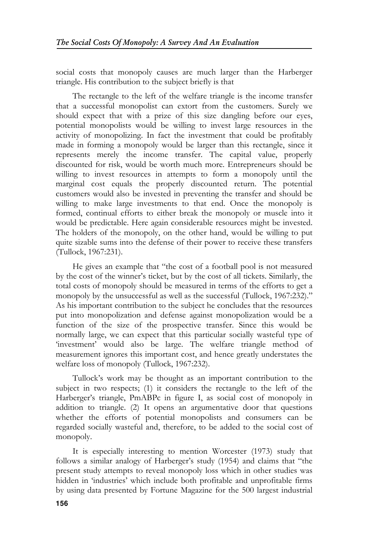social costs that monopoly causes are much larger than the Harberger triangle. His contribution to the subject briefly is that

The rectangle to the left of the welfare triangle is the income transfer that a successful monopolist can extort from the customers. Surely we should expect that with a prize of this size dangling before our eyes, potential monopolists would be willing to invest large resources in the activity of monopolizing. In fact the investment that could be profitably made in forming a monopoly would be larger than this rectangle, since it represents merely the income transfer. The capital value, properly discounted for risk, would be worth much more. Entrepreneurs should be willing to invest resources in attempts to form a monopoly until the marginal cost equals the properly discounted return. The potential customers would also be invested in preventing the transfer and should be willing to make large investments to that end. Once the monopoly is formed, continual efforts to either break the monopoly or muscle into it would be predictable. Here again considerable resources might be invested. The holders of the monopoly, on the other hand, would be willing to put quite sizable sums into the defense of their power to receive these transfers (Tullock, 1967:231).

He gives an example that "the cost of a football pool is not measured by the cost of the winner's ticket, but by the cost of all tickets. Similarly, the total costs of monopoly should be measured in terms of the efforts to get a monopoly by the unsuccessful as well as the successful (Tullock, 1967:232)." As his important contribution to the subject he concludes that the resources put into monopolization and defense against monopolization would be a function of the size of the prospective transfer. Since this would be normally large, we can expect that this particular socially wasteful type of 'investment' would also be large. The welfare triangle method of measurement ignores this important cost, and hence greatly understates the welfare loss of monopoly (Tullock, 1967:232).

Tullock's work may be thought as an important contribution to the subject in two respects; (1) it considers the rectangle to the left of the Harberger's triangle, PmABPc in figure I, as social cost of monopoly in addition to triangle. (2) It opens an argumentative door that questions whether the efforts of potential monopolists and consumers can be regarded socially wasteful and, therefore, to be added to the social cost of monopoly.

It is especially interesting to mention Worcester (1973) study that follows a similar analogy of Harberger's study (1954) and claims that "the present study attempts to reveal monopoly loss which in other studies was hidden in 'industries' which include both profitable and unprofitable firms by using data presented by Fortune Magazine for the 500 largest industrial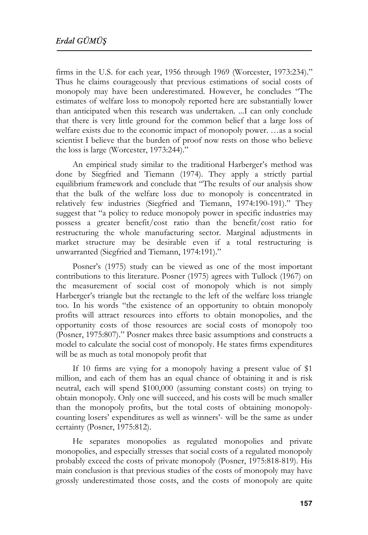firms in the U.S. for each year, 1956 through 1969 (Worcester, 1973:234)." Thus he claims courageously that previous estimations of social costs of monopoly may have been underestimated. However, he concludes "The estimates of welfare loss to monopoly reported here are substantially lower than anticipated when this research was undertaken. ...I can only conclude that there is very little ground for the common belief that a large loss of welfare exists due to the economic impact of monopoly power. …as a social scientist I believe that the burden of proof now rests on those who believe the loss is large (Worcester, 1973:244)."

An empirical study similar to the traditional Harberger's method was done by Siegfried and Tiemann (1974). They apply a strictly partial equilibrium framework and conclude that "The results of our analysis show that the bulk of the welfare loss due to monopoly is concentrated in relatively few industries (Siegfried and Tiemann, 1974:190-191)." They suggest that "a policy to reduce monopoly power in specific industries may possess a greater benefit/cost ratio than the benefit/cost ratio for restructuring the whole manufacturing sector. Marginal adjustments in market structure may be desirable even if a total restructuring is unwarranted (Siegfried and Tiemann, 1974:191)."

Posner's (1975) study can be viewed as one of the most important contributions to this literature. Posner (1975) agrees with Tullock (1967) on the measurement of social cost of monopoly which is not simply Harberger's triangle but the rectangle to the left of the welfare loss triangle too. In his words "the existence of an opportunity to obtain monopoly profits will attract resources into efforts to obtain monopolies, and the opportunity costs of those resources are social costs of monopoly too (Posner, 1975:807)." Posner makes three basic assumptions and constructs a model to calculate the social cost of monopoly. He states firms expenditures will be as much as total monopoly profit that

If 10 firms are vying for a monopoly having a present value of \$1 million, and each of them has an equal chance of obtaining it and is risk neutral, each will spend \$100,000 (assuming constant costs) on trying to obtain monopoly. Only one will succeed, and his costs will be much smaller than the monopoly profits, but the total costs of obtaining monopolycounting losers' expenditures as well as winners'- will be the same as under certainty (Posner, 1975:812).

He separates monopolies as regulated monopolies and private monopolies, and especially stresses that social costs of a regulated monopoly probably exceed the costs of private monopoly (Posner, 1975:818-819). His main conclusion is that previous studies of the costs of monopoly may have grossly underestimated those costs, and the costs of monopoly are quite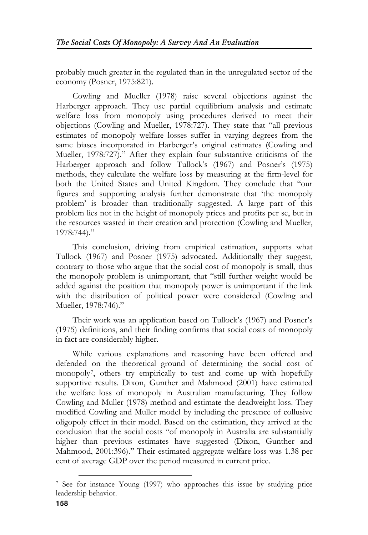probably much greater in the regulated than in the unregulated sector of the economy (Posner, 1975:821).

Cowling and Mueller (1978) raise several objections against the Harberger approach. They use partial equilibrium analysis and estimate welfare loss from monopoly using procedures derived to meet their objections (Cowling and Mueller, 1978:727). They state that "all previous estimates of monopoly welfare losses suffer in varying degrees from the same biases incorporated in Harberger's original estimates (Cowling and Mueller, 1978:727)." After they explain four substantive criticisms of the Harberger approach and follow Tullock's (1967) and Posner's (1975) methods, they calculate the welfare loss by measuring at the firm-level for both the United States and United Kingdom. They conclude that "our figures and supporting analysis further demonstrate that 'the monopoly problem' is broader than traditionally suggested. A large part of this problem lies not in the height of monopoly prices and profits per se, but in the resources wasted in their creation and protection (Cowling and Mueller, 1978:744)."

This conclusion, driving from empirical estimation, supports what Tullock (1967) and Posner (1975) advocated. Additionally they suggest, contrary to those who argue that the social cost of monopoly is small, thus the monopoly problem is unimportant, that "still further weight would be added against the position that monopoly power is unimportant if the link with the distribution of political power were considered (Cowling and Mueller, 1978:746)."

Their work was an application based on Tullock's (1967) and Posner's (1975) definitions, and their finding confirms that social costs of monopoly in fact are considerably higher.

While various explanations and reasoning have been offered and defended on the theoretical ground of determining the social cost of monopoly<sup>7</sup> , others try empirically to test and come up with hopefully supportive results. Dixon, Gunther and Mahmood (2001) have estimated the welfare loss of monopoly in Australian manufacturing. They follow Cowling and Muller (1978) method and estimate the deadweight loss. They modified Cowling and Muller model by including the presence of collusive oligopoly effect in their model. Based on the estimation, they arrived at the conclusion that the social costs "of monopoly in Australia are substantially higher than previous estimates have suggested (Dixon, Gunther and Mahmood, 2001:396)." Their estimated aggregate welfare loss was 1.38 per cent of average GDP over the period measured in current price.

<sup>7</sup> See for instance Young (1997) who approaches this issue by studying price leadership behavior.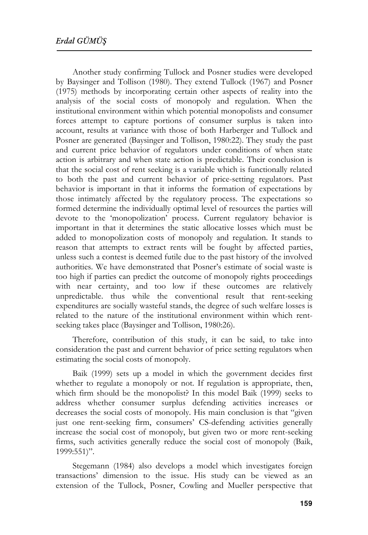Another study confirming Tullock and Posner studies were developed by Baysinger and Tollison (1980). They extend Tullock (1967) and Posner (1975) methods by incorporating certain other aspects of reality into the analysis of the social costs of monopoly and regulation. When the institutional environment within which potential monopolists and consumer forces attempt to capture portions of consumer surplus is taken into account, results at variance with those of both Harberger and Tullock and Posner are generated (Baysinger and Tollison, 1980:22). They study the past and current price behavior of regulators under conditions of when state action is arbitrary and when state action is predictable. Their conclusion is that the social cost of rent seeking is a variable which is functionally related to both the past and current behavior of price-setting regulators. Past behavior is important in that it informs the formation of expectations by those intimately affected by the regulatory process. The expectations so formed determine the individually optimal level of resources the parties will devote to the 'monopolization' process. Current regulatory behavior is important in that it determines the static allocative losses which must be added to monopolization costs of monopoly and regulation. It stands to reason that attempts to extract rents will be fought by affected parties, unless such a contest is deemed futile due to the past history of the involved authorities. We have demonstrated that Posner's estimate of social waste is too high if parties can predict the outcome of monopoly rights proceedings with near certainty, and too low if these outcomes are relatively unpredictable. thus while the conventional result that rent-seeking expenditures are socially wasteful stands, the degree of such welfare losses is related to the nature of the institutional environment within which rentseeking takes place (Baysinger and Tollison, 1980:26).

Therefore, contribution of this study, it can be said, to take into consideration the past and current behavior of price setting regulators when estimating the social costs of monopoly.

Baik (1999) sets up a model in which the government decides first whether to regulate a monopoly or not. If regulation is appropriate, then, which firm should be the monopolist? In this model Baik (1999) seeks to address whether consumer surplus defending activities increases or decreases the social costs of monopoly. His main conclusion is that "given just one rent-seeking firm, consumers' CS-defending activities generally increase the social cost of monopoly, but given two or more rent-seeking firms, such activities generally reduce the social cost of monopoly (Baik, 1999:551)".

Stegemann (1984) also develops a model which investigates foreign transactions' dimension to the issue. His study can be viewed as an extension of the Tullock, Posner, Cowling and Mueller perspective that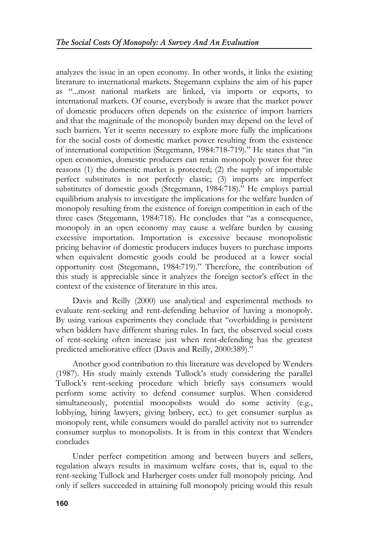analyzes the issue in an open economy. In other words, it links the existing literature to international markets. Stegemann explains the aim of his paper as "...most national markets are linked, via imports or exports, to international markets. Of course, everybody is aware that the market power of domestic producers often depends on the existence of import barriers and that the magnitude of the monopoly burden may depend on the level of such barriers. Yet it seems necessary to explore more fully the implications for the social costs of domestic market power resulting from the existence of international competition (Stegemann, 1984:718-719)." He states that "in open economies, domestic producers can retain monopoly power for three reasons (1) the domestic market is protected; (2) the supply of importable perfect substitutes is not perfectly elastic; (3) imports are imperfect substitutes of domestic goods (Stegemann, 1984:718)." He employs partial equilibrium analysis to investigate the implications for the welfare burden of monopoly resulting from the existence of foreign competition in each of the three cases (Stegemann, 1984:718). He concludes that "as a consequence, monopoly in an open economy may cause a welfare burden by causing excessive importation. Importation is excessive because monopolistic pricing behavior of domestic producers induces buyers to purchase imports when equivalent domestic goods could be produced at a lower social opportunity cost (Stegemann, 1984:719)." Therefore, the contribution of this study is appreciable since it analyzes the foreign sector's effect in the context of the existence of literature in this area.

Davis and Reilly (2000) use analytical and experimental methods to evaluate rent-seeking and rent-defending behavior of having a monopoly. By using various experiments they conclude that "overbidding is persistent when bidders have different sharing rules. In fact, the observed social costs of rent-seeking often increase just when rent-defending has the greatest predicted ameliorative effect (Davis and Reilly, 2000:389)."

Another good contribution to this literature was developed by Wenders (1987). His study mainly extends Tullock's study considering the parallel Tullock's rent-seeking procedure which briefly says consumers would perform some activity to defend consumer surplus. When considered simultaneously, potential monopolists would do some activity (e.g., lobbying, hiring lawyers, giving bribery, ect.) to get consumer surplus as monopoly rent, while consumers would do parallel activity not to surrender consumer surplus to monopolists. It is from in this context that Wenders concludes

Under perfect competition among and between buyers and sellers, regulation always results in maximum welfare costs, that is, equal to the rent-seeking Tullock and Harberger costs under full monopoly pricing. And only if sellers succeeded in attaining full monopoly pricing would this result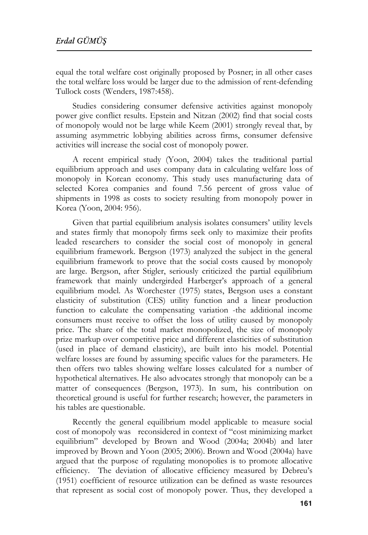equal the total welfare cost originally proposed by Posner; in all other cases the total welfare loss would be larger due to the admission of rent-defending Tullock costs (Wenders, 1987:458).

Studies considering consumer defensive activities against monopoly power give conflict results. Epstein and Nitzan (2002) find that social costs of monopoly would not be large while Keem (2001) strongly reveal that, by assuming asymmetric lobbying abilities across firms, consumer defensive activities will increase the social cost of monopoly power.

A recent empirical study (Yoon, 2004) takes the traditional partial equilibrium approach and uses company data in calculating welfare loss of monopoly in Korean economy. This study uses manufacturing data of selected Korea companies and found 7.56 percent of gross value of shipments in 1998 as costs to society resulting from monopoly power in Korea (Yoon, 2004: 956).

Given that partial equilibrium analysis isolates consumers' utility levels and states firmly that monopoly firms seek only to maximize their profits leaded researchers to consider the social cost of monopoly in general equilibrium framework. Bergson (1973) analyzed the subject in the general equilibrium framework to prove that the social costs caused by monopoly are large. Bergson, after Stigler, seriously criticized the partial equilibrium framework that mainly undergirded Harberger's approach of a general equilibrium model. As Worchester (1975) states, Bergson uses a constant elasticity of substitution (CES) utility function and a linear production function to calculate the compensating variation -the additional income consumers must receive to offset the loss of utility caused by monopoly price. The share of the total market monopolized, the size of monopoly prize markup over competitive price and different elasticities of substitution (used in place of demand elasticity), are built into his model. Potential welfare losses are found by assuming specific values for the parameters. He then offers two tables showing welfare losses calculated for a number of hypothetical alternatives. He also advocates strongly that monopoly can be a matter of consequences (Bergson, 1973). In sum, his contribution on theoretical ground is useful for further research; however, the parameters in his tables are questionable.

Recently the general equilibrium model applicable to measure social cost of monopoly was reconsidered in context of "cost minimizing market equilibrium" developed by Brown and Wood (2004a; 2004b) and later improved by Brown and Yoon (2005; 2006). Brown and Wood (2004a) have argued that the purpose of regulating monopolies is to promote allocative efficiency. The deviation of allocative efficiency measured by Debreu's (1951) coefficient of resource utilization can be defined as waste resources that represent as social cost of monopoly power. Thus, they developed a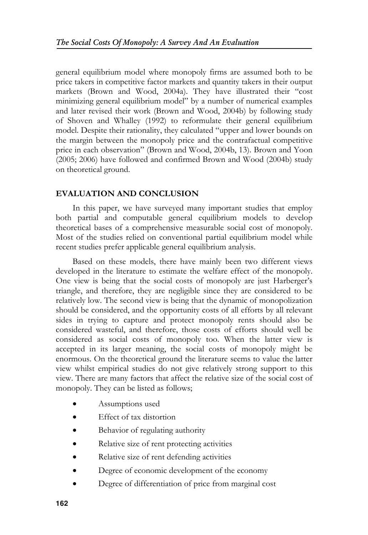general equilibrium model where monopoly firms are assumed both to be price takers in competitive factor markets and quantity takers in their output markets (Brown and Wood, 2004a). They have illustrated their "cost minimizing general equilibrium model" by a number of numerical examples and later revised their work (Brown and Wood, 2004b) by following study of Shoven and Whalley (1992) to reformulate their general equilibrium model. Despite their rationality, they calculated "upper and lower bounds on the margin between the monopoly price and the contrafactual competitive price in each observation" (Brown and Wood, 2004b, 13). Brown and Yoon (2005; 2006) have followed and confirmed Brown and Wood (2004b) study on theoretical ground.

## **EVALUATION AND CONCLUSION**

In this paper, we have surveyed many important studies that employ both partial and computable general equilibrium models to develop theoretical bases of a comprehensive measurable social cost of monopoly. Most of the studies relied on conventional partial equilibrium model while recent studies prefer applicable general equilibrium analysis.

Based on these models, there have mainly been two different views developed in the literature to estimate the welfare effect of the monopoly. One view is being that the social costs of monopoly are just Harberger's triangle, and therefore, they are negligible since they are considered to be relatively low. The second view is being that the dynamic of monopolization should be considered, and the opportunity costs of all efforts by all relevant sides in trying to capture and protect monopoly rents should also be considered wasteful, and therefore, those costs of efforts should well be considered as social costs of monopoly too. When the latter view is accepted in its larger meaning, the social costs of monopoly might be enormous. On the theoretical ground the literature seems to value the latter view whilst empirical studies do not give relatively strong support to this view. There are many factors that affect the relative size of the social cost of monopoly. They can be listed as follows;

- Assumptions used
- Effect of tax distortion
- Behavior of regulating authority
- Relative size of rent protecting activities
- Relative size of rent defending activities
- Degree of economic development of the economy
- Degree of differentiation of price from marginal cost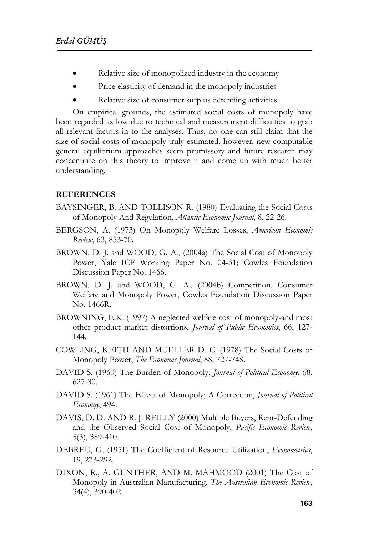- Relative size of monopolized industry in the economy
- Price elasticity of demand in the monopoly industries
- Relative size of consumer surplus defending activities

On empirical grounds, the estimated social costs of monopoly have been regarded as low due to technical and measurement difficulties to grab all relevant factors in to the analyses. Thus, no one can still claim that the size of social costs of monopoly truly estimated, however, new computable general equilibrium approaches seem promissory and future research may concentrate on this theory to improve it and come up with much better understanding.

## **REFERENCES**

- BAYSINGER, B. AND TOLLISON R. (1980) Evaluating the Social Costs of Monopoly And Regulation, *Atlantic Economic Journal*, 8, 22-26.
- BERGSON, A. (1973) On Monopoly Welfare Losses, *American Economic Review*, 63, 853-70.
- BROWN, D. J. and WOOD, G. A., (2004a) The Social Cost of Monopoly Power, Yale ICF Working Paper No. 04-31; Cowles Foundation Discussion Paper No. 1466.
- BROWN, D. J. and WOOD, G. A., (2004b) Competition, Consumer Welfare and Monopoly Power, Cowles Foundation Discussion Paper No. 1466R.
- BROWNING, E.K. (1997) A neglected welfare cost of monopoly-and most other product market distortions, *Journal of Public Economics*, 66, 127- 144.
- COWLING, KEITH AND MUELLER D. C. (1978) The Social Costs of Monopoly Power, *The Economic Journal*, 88, 727-748.
- DAVID S. (1960) The Burden of Monopoly, *Journal of Political Economy*, 68, 627-30.
- DAVID S. (1961) The Effect of Monopoly; A Correction, *Journal of Political Economy*, 494.
- DAVIS, D. D. AND R. J. REILLY (2000) Multiple Buyers, Rent-Defending and the Observed Social Cost of Monopoly, *Pacific Economic Review*, 5(3), 389-410.
- DEBREU, G. (1951) The Coefficient of Resource Utilization, *Econometrica*, 19, 273-292.
- DIXON, R., A. GUNTHER, AND M. MAHMOOD (2001) The Cost of Monopoly in Australian Manufacturing, *The Australian Economic Review*, 34(4), 390-402.